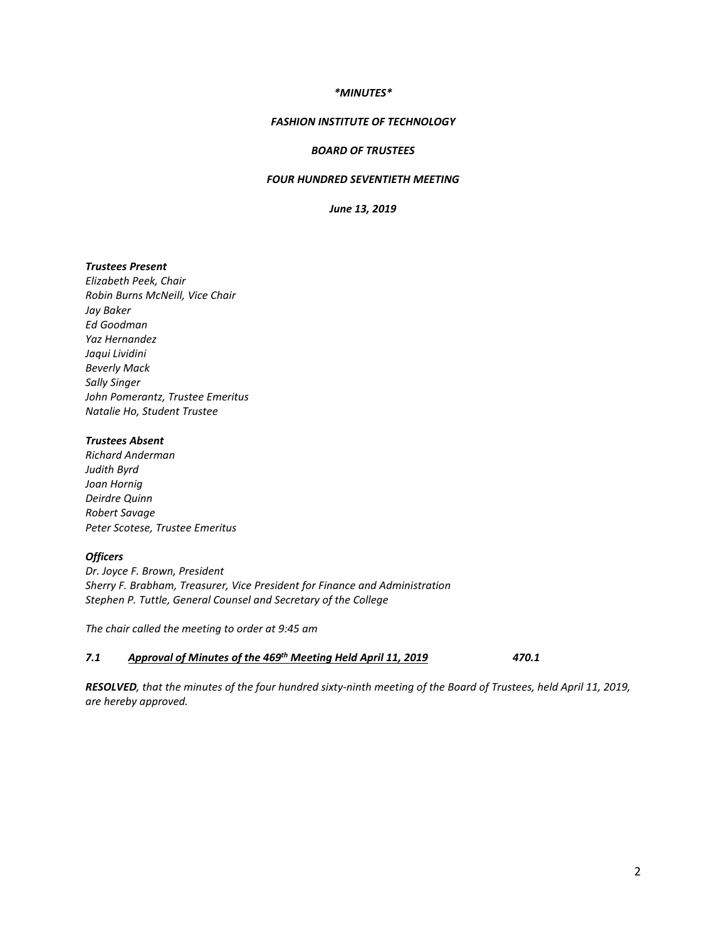## *\*MINUTES\**

## *FASHION INSTITUTE OF TECHNOLOGY*

## *BOARD OF TRUSTEES*

# *FOUR HUNDRED SEVENTIETH MEETING*

*June 13, 2019*

### *Trustees Present*

*Elizabeth Peek, Chair Robin Burns McNeill, Vice Chair Jay Baker Ed Goodman Yaz Hernandez Jaqui Lividini Beverly Mack Sally Singer John Pomerantz, Trustee Emeritus Natalie Ho, Student Trustee*

## *Trustees Absent*

*Richard Anderman Judith Byrd Joan Hornig Deirdre Quinn Robert Savage Peter Scotese, Trustee Emeritus*

# *Officers*

*Dr. Joyce F. Brown, President Sherry F. Brabham, Treasurer, Vice President for Finance and Administration Stephen P. Tuttle, General Counsel and Secretary of the College*

*The chair called the meeting to order at 9:45 am*

### *7.1 Approval of Minutes of the 469th Meeting Held April 11, 2019 470.1*

*RESOLVED, that the minutes of the four hundred sixty-ninth meeting of the Board of Trustees, held April 11, 2019, are hereby approved.*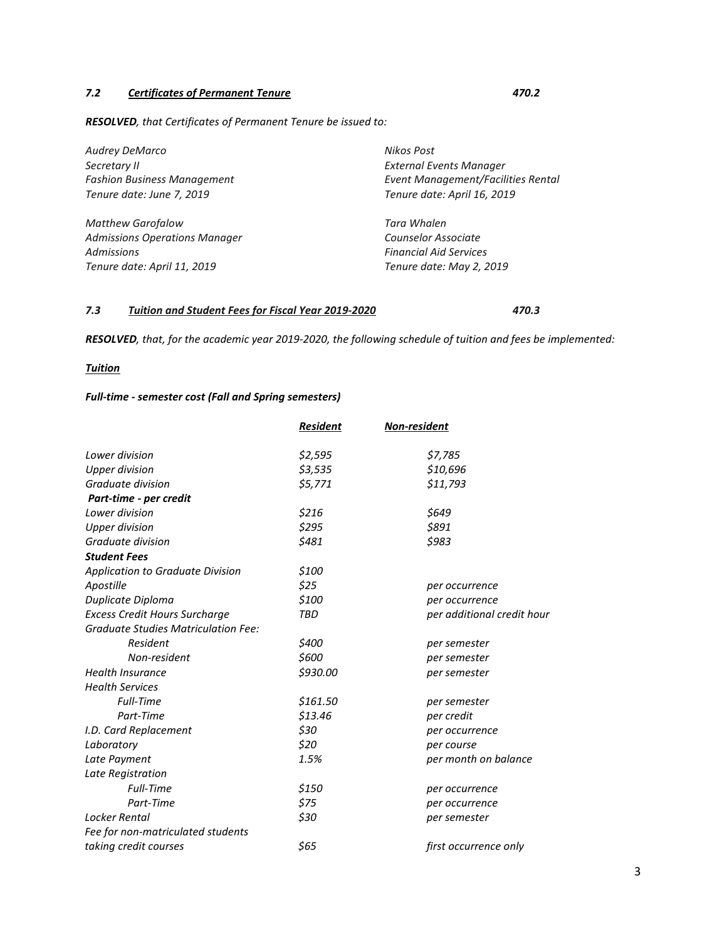# *7.2 Certificates of Permanent Tenure 470.2*

*RESOLVED, that Certificates of Permanent Tenure be issued to:* 

| Audrey DeMarco                       | Nikos Post                         |
|--------------------------------------|------------------------------------|
| Secretary II                         | <b>External Events Manager</b>     |
| <b>Fashion Business Management</b>   | Event Management/Facilities Rental |
| Tenure date: June 7, 2019            | Tenure date: April 16, 2019        |
| <b>Matthew Garofalow</b>             | Tara Whalen                        |
| <b>Admissions Operations Manager</b> | Counselor Associate                |
| <b>Admissions</b>                    | <b>Financial Aid Services</b>      |
| Tenure date: April 11, 2019          | Tenure date: May 2, 2019           |

## *7.3 Tuition and Student Fees for Fiscal Year 2019-2020 470.3*

*RESOLVED, that, for the academic year 2019-2020, the following schedule of tuition and fees be implemented:*

# *Tuition*

# *Full-time - semester cost (Fall and Spring semesters)*

|                                            | <b>Resident</b> | Non-resident               |
|--------------------------------------------|-----------------|----------------------------|
| Lower division                             | \$2,595         | \$7,785                    |
| <b>Upper division</b>                      | \$3,535         | \$10,696                   |
| Graduate division                          | \$5,771         | \$11,793                   |
| Part-time - per credit                     |                 |                            |
| Lower division                             | \$216           | \$649                      |
| <b>Upper division</b>                      | \$295           | \$891                      |
| Graduate division                          | \$481           | \$983                      |
| <b>Student Fees</b>                        |                 |                            |
| <b>Application to Graduate Division</b>    | \$100           |                            |
| Apostille                                  | \$25            | per occurrence             |
| Duplicate Diploma                          | \$100           | per occurrence             |
| <b>Excess Credit Hours Surcharge</b>       | <b>TBD</b>      | per additional credit hour |
| <b>Graduate Studies Matriculation Fee:</b> |                 |                            |
| Resident                                   | \$400           | per semester               |
| Non-resident                               | \$600           | per semester               |
| <b>Health Insurance</b>                    | \$930.00        | per semester               |
| <b>Health Services</b>                     |                 |                            |
| <b>Full-Time</b>                           | \$161.50        | per semester               |
| Part-Time                                  | \$13.46         | per credit                 |
| I.D. Card Replacement                      | \$30            | per occurrence             |
| Laboratory                                 | \$20            | per course                 |
| Late Payment                               | 1.5%            | per month on balance       |
| Late Registration                          |                 |                            |
| <b>Full-Time</b>                           | \$150           | per occurrence             |
| Part-Time                                  | \$75            | per occurrence             |
| Locker Rental                              | \$30            | per semester               |
| Fee for non-matriculated students          |                 |                            |
| taking credit courses                      | \$65            | first occurrence only      |
|                                            |                 |                            |

# 3